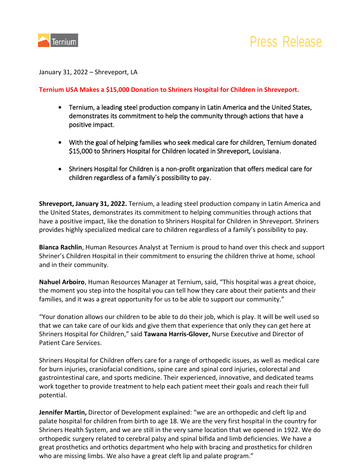

January 31, 2022 – Shreveport, LA

## **Ternium USA Makes a \$15,000 Donation to Shriners Hospital for Children in Shreveport.**

- Ternium, a leading steel production company in Latin America and the United States, demonstrates its commitment to help the community through actions that have a positive impact.
- With the goal of helping families who seek medical care for children, Ternium donated \$15,000 to Shriners Hospital for Children located in Shreveport, Louisiana.
- Shriners Hospital for Children is a non-profit organization that offers medical care for children regardless of a family´s possibility to pay.

**Shreveport, January 31, 2022.** Ternium, a leading steel production company in Latin America and the United States, demonstrates its commitment to helping communities through actions that have a positive impact, like the donation to Shriners Hospital for Children in Shreveport. Shriners provides highly specialized medical care to children regardless of a family's possibility to pay.

**Bianca Rachlin**, Human Resources Analyst at Ternium is proud to hand over this check and support Shriner's Children Hospital in their commitment to ensuring the children thrive at home, school and in their community.

**Nahuel Arboiro**, Human Resources Manager at Ternium, said, "This hospital was a great choice, the moment you step into the hospital you can tell how they care about their patients and their families, and it was a great opportunity for us to be able to support our community."

"Your donation allows our children to be able to do their job, which is play. It will be well used so that we can take care of our kids and give them that experience that only they can get here at Shriners Hospital for Children," said **Tawana Harris-Glover,** Nurse Executive and Director of Patient Care Services.

Shriners Hospital for Children offers care for a range of orthopedic issues, as well as medical care for burn injuries, craniofacial conditions, spine care and spinal cord injuries, colorectal and gastrointestinal care, and sports medicine. Their experienced, innovative, and dedicated teams work together to provide treatment to help each patient meet their goals and reach their full potential.

**Jennifer Martin,** Director of Development explained: "we are an orthopedic and cleft lip and palate hospital for children from birth to age 18. We are the very first hospital in the country for Shriners Health System, and we are still in the very same location that we opened in 1922. We do orthopedic surgery related to cerebral palsy and spinal bifida and limb deficiencies. We have a great prosthetics and orthotics department who help with bracing and prosthetics for children who are missing limbs. We also have a great cleft lip and palate program."